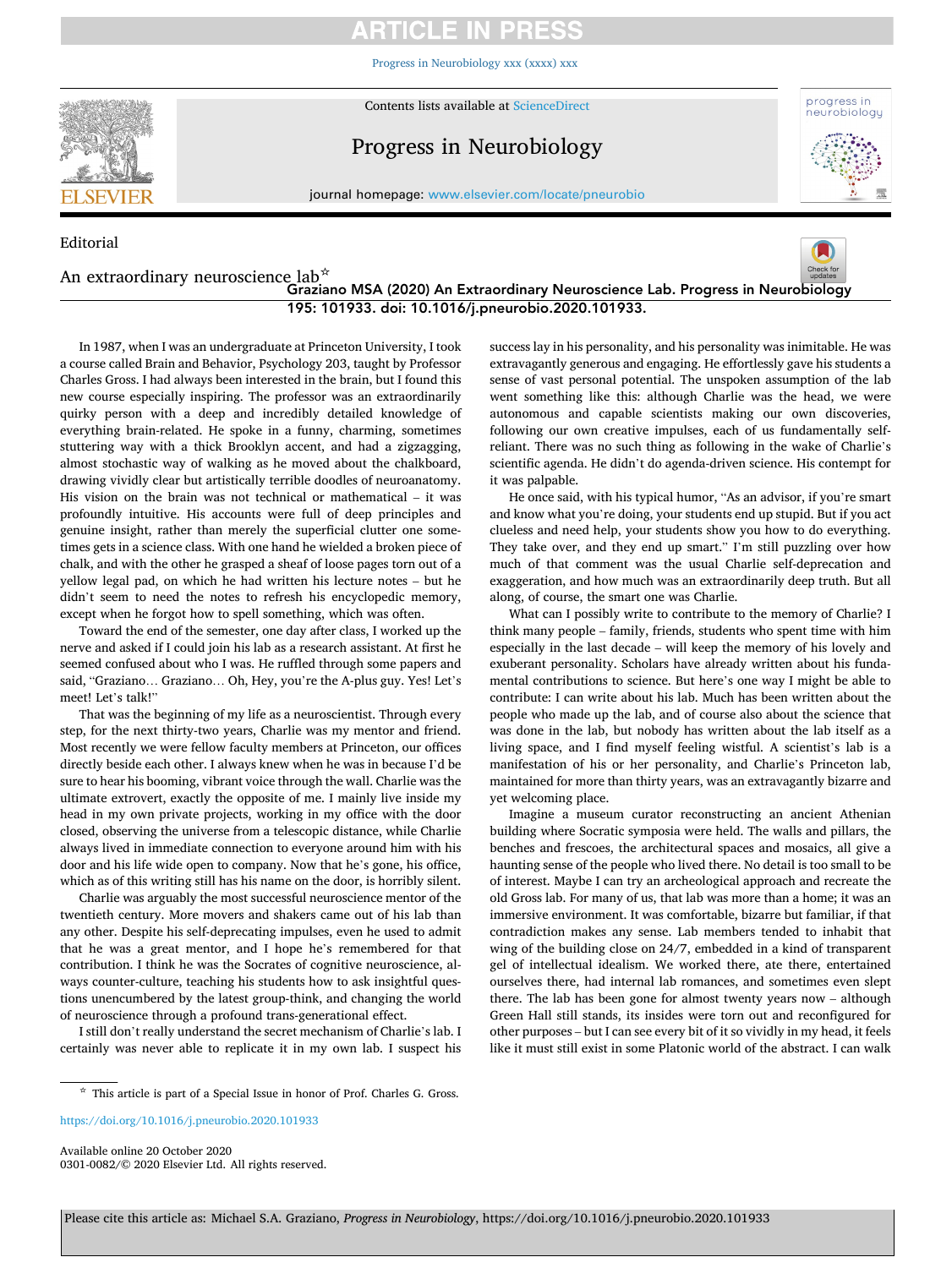# **RTICLE IN PRESS**

[Progress in Neurobiology xxx \(xxxx\) xxx](https://doi.org/10.1016/j.pneurobio.2020.101933)



Editorial

Contents lists available at [ScienceDirect](www.sciencedirect.com/science/journal/03010082)

# Progress in Neurobiology



journal homepage: [www.elsevier.com/locate/pneurobio](https://www.elsevier.com/locate/pneurobio) 

#### An extraordinary neuroscience lab☆ Graziano MSA (2020) An Extraordinary Neuroscience Lab. Progress in Neurobiology 195: 101933. doi: 10.1016/j.pneurobio.2020.101933.

In 1987, when I was an undergraduate at Princeton University, I took a course called Brain and Behavior, Psychology 203, taught by Professor Charles Gross. I had always been interested in the brain, but I found this new course especially inspiring. The professor was an extraordinarily quirky person with a deep and incredibly detailed knowledge of everything brain-related. He spoke in a funny, charming, sometimes stuttering way with a thick Brooklyn accent, and had a zigzagging, almost stochastic way of walking as he moved about the chalkboard, drawing vividly clear but artistically terrible doodles of neuroanatomy. His vision on the brain was not technical or mathematical – it was profoundly intuitive. His accounts were full of deep principles and genuine insight, rather than merely the superficial clutter one sometimes gets in a science class. With one hand he wielded a broken piece of chalk, and with the other he grasped a sheaf of loose pages torn out of a yellow legal pad, on which he had written his lecture notes – but he didn't seem to need the notes to refresh his encyclopedic memory, except when he forgot how to spell something, which was often.

Toward the end of the semester, one day after class, I worked up the nerve and asked if I could join his lab as a research assistant. At first he seemed confused about who I was. He ruffed through some papers and said, "Graziano… Graziano… Oh, Hey, you're the A-plus guy. Yes! Let's meet! Let's talk!"

That was the beginning of my life as a neuroscientist. Through every step, for the next thirty-two years, Charlie was my mentor and friend. Most recently we were fellow faculty members at Princeton, our offices directly beside each other. I always knew when he was in because I'd be sure to hear his booming, vibrant voice through the wall. Charlie was the ultimate extrovert, exactly the opposite of me. I mainly live inside my head in my own private projects, working in my office with the door closed, observing the universe from a telescopic distance, while Charlie always lived in immediate connection to everyone around him with his door and his life wide open to company. Now that he's gone, his office, which as of this writing still has his name on the door, is horribly silent.

Charlie was arguably the most successful neuroscience mentor of the twentieth century. More movers and shakers came out of his lab than any other. Despite his self-deprecating impulses, even he used to admit that he was a great mentor, and I hope he's remembered for that contribution. I think he was the Socrates of cognitive neuroscience, always counter-culture, teaching his students how to ask insightful questions unencumbered by the latest group-think, and changing the world of neuroscience through a profound trans-generational effect.

I still don't really understand the secret mechanism of Charlie's lab. I certainly was never able to replicate it in my own lab. I suspect his success lay in his personality, and his personality was inimitable. He was extravagantly generous and engaging. He effortlessly gave his students a sense of vast personal potential. The unspoken assumption of the lab went something like this: although Charlie was the head, we were autonomous and capable scientists making our own discoveries, following our own creative impulses, each of us fundamentally selfreliant. There was no such thing as following in the wake of Charlie's scientifc agenda. He didn't do agenda-driven science. His contempt for it was palpable.

He once said, with his typical humor, "As an advisor, if you're smart and know what you're doing, your students end up stupid. But if you act clueless and need help, your students show you how to do everything. They take over, and they end up smart." I'm still puzzling over how much of that comment was the usual Charlie self-deprecation and exaggeration, and how much was an extraordinarily deep truth. But all along, of course, the smart one was Charlie.

What can I possibly write to contribute to the memory of Charlie? I think many people – family, friends, students who spent time with him especially in the last decade – will keep the memory of his lovely and exuberant personality. Scholars have already written about his fundamental contributions to science. But here's one way I might be able to contribute: I can write about his lab. Much has been written about the people who made up the lab, and of course also about the science that was done in the lab, but nobody has written about the lab itself as a living space, and I find myself feeling wistful. A scientist's lab is a manifestation of his or her personality, and Charlie's Princeton lab, maintained for more than thirty years, was an extravagantly bizarre and yet welcoming place.

Imagine a museum curator reconstructing an ancient Athenian building where Socratic symposia were held. The walls and pillars, the benches and frescoes, the architectural spaces and mosaics, all give a haunting sense of the people who lived there. No detail is too small to be of interest. Maybe I can try an archeological approach and recreate the old Gross lab. For many of us, that lab was more than a home; it was an immersive environment. It was comfortable, bizarre but familiar, if that contradiction makes any sense. Lab members tended to inhabit that wing of the building close on 24/7, embedded in a kind of transparent gel of intellectual idealism. We worked there, ate there, entertained ourselves there, had internal lab romances, and sometimes even slept there. The lab has been gone for almost twenty years now – although Green Hall still stands, its insides were torn out and reconfgured for other purposes – but I can see every bit of it so vividly in my head, it feels like it must still exist in some Platonic world of the abstract. I can walk

<https://doi.org/10.1016/j.pneurobio.2020.101933>

Available online 20 October 2020 0301-0082/© 2020 Elsevier Ltd. All rights reserved.

<sup>☆</sup> This article is part of a Special Issue in honor of Prof. Charles G. Gross.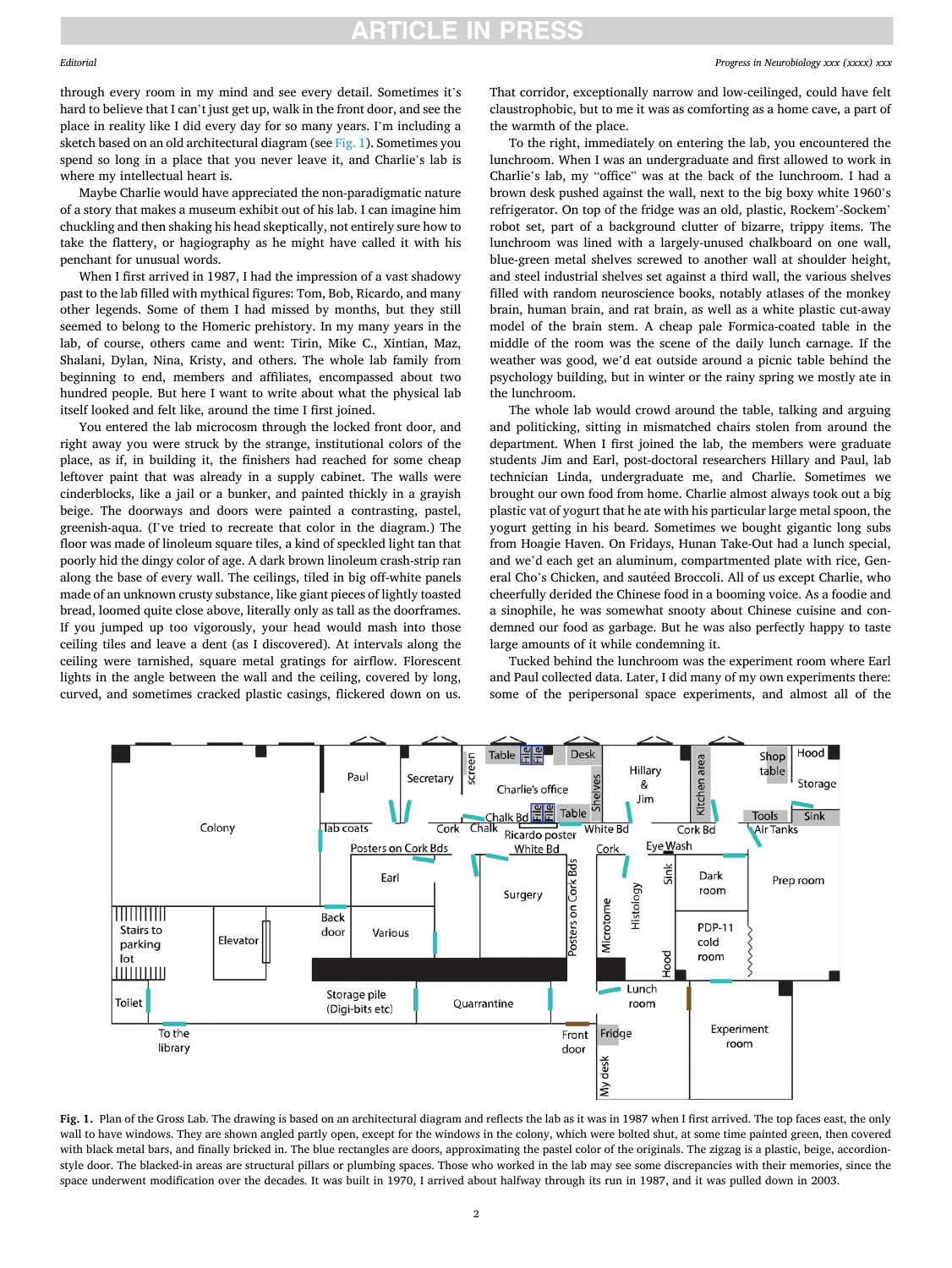### **ARTICLE IN PRESS**

#### Editorial

through every room in my mind and see every detail. Sometimes it's hard to believe that I can't just get up, walk in the front door, and see the place in reality like I did every day for so many years. I'm including a sketch based on an old architectural diagram (see Fig. 1). Sometimes you spend so long in a place that you never leave it, and Charlie's lab is where my intellectual heart is.

Maybe Charlie would have appreciated the non-paradigmatic nature of a story that makes a museum exhibit out of his lab. I can imagine him chuckling and then shaking his head skeptically, not entirely sure how to take the fattery, or hagiography as he might have called it with his penchant for unusual words.

When I first arrived in 1987, I had the impression of a vast shadowy past to the lab flled with mythical fgures: Tom, Bob, Ricardo, and many other legends. Some of them I had missed by months, but they still seemed to belong to the Homeric prehistory. In my many years in the lab, of course, others came and went: Tirin, Mike C., Xintian, Maz, Shalani, Dylan, Nina, Kristy, and others. The whole lab family from beginning to end, members and affliates, encompassed about two hundred people. But here I want to write about what the physical lab itself looked and felt like, around the time I first joined.

You entered the lab microcosm through the locked front door, and right away you were struck by the strange, institutional colors of the place, as if, in building it, the fnishers had reached for some cheap leftover paint that was already in a supply cabinet. The walls were cinderblocks, like a jail or a bunker, and painted thickly in a grayish beige. The doorways and doors were painted a contrasting, pastel, greenish-aqua. (I've tried to recreate that color in the diagram.) The foor was made of linoleum square tiles, a kind of speckled light tan that poorly hid the dingy color of age. A dark brown linoleum crash-strip ran along the base of every wall. The ceilings, tiled in big off-white panels made of an unknown crusty substance, like giant pieces of lightly toasted bread, loomed quite close above, literally only as tall as the doorframes. If you jumped up too vigorously, your head would mash into those ceiling tiles and leave a dent (as I discovered). At intervals along the ceiling were tarnished, square metal gratings for airflow. Florescent lights in the angle between the wall and the ceiling, covered by long, curved, and sometimes cracked plastic casings, fickered down on us.

That corridor, exceptionally narrow and low-ceilinged, could have felt claustrophobic, but to me it was as comforting as a home cave, a part of the warmth of the place.

To the right, immediately on entering the lab, you encountered the lunchroom. When I was an undergraduate and frst allowed to work in Charlie's lab, my "office" was at the back of the lunchroom. I had a brown desk pushed against the wall, next to the big boxy white 1960's refrigerator. On top of the fridge was an old, plastic, Rockem'-Sockem' robot set, part of a background clutter of bizarre, trippy items. The lunchroom was lined with a largely-unused chalkboard on one wall, blue-green metal shelves screwed to another wall at shoulder height, and steel industrial shelves set against a third wall, the various shelves flled with random neuroscience books, notably atlases of the monkey brain, human brain, and rat brain, as well as a white plastic cut-away model of the brain stem. A cheap pale Formica-coated table in the middle of the room was the scene of the daily lunch carnage. If the weather was good, we'd eat outside around a picnic table behind the psychology building, but in winter or the rainy spring we mostly ate in the lunchroom.

The whole lab would crowd around the table, talking and arguing and politicking, sitting in mismatched chairs stolen from around the department. When I frst joined the lab, the members were graduate students Jim and Earl, post-doctoral researchers Hillary and Paul, lab technician Linda, undergraduate me, and Charlie. Sometimes we brought our own food from home. Charlie almost always took out a big plastic vat of yogurt that he ate with his particular large metal spoon, the yogurt getting in his beard. Sometimes we bought gigantic long subs from Hoagie Haven. On Fridays, Hunan Take-Out had a lunch special, and we'd each get an aluminum, compartmented plate with rice, General Cho's Chicken, and sautéed Broccoli. All of us except Charlie, who cheerfully derided the Chinese food in a booming voice. As a foodie and a sinophile, he was somewhat snooty about Chinese cuisine and condemned our food as garbage. But he was also perfectly happy to taste large amounts of it while condemning it.

Tucked behind the lunchroom was the experiment room where Earl and Paul collected data. Later, I did many of my own experiments there: some of the peripersonal space experiments, and almost all of the



Fig. 1. Plan of the Gross Lab. The drawing is based on an architectural diagram and refects the lab as it was in 1987 when I frst arrived. The top faces east, the only wall to have windows. They are shown angled partly open, except for the windows in the colony, which were bolted shut, at some time painted green, then covered with black metal bars, and finally bricked in. The blue rectangles are doors, approximating the pastel color of the originals. The zigzag is a plastic, beige, accordionstyle door. The blacked-in areas are structural pillars or plumbing spaces. Those who worked in the lab may see some discrepancies with their memories, since the space underwent modifcation over the decades. It was built in 1970, I arrived about halfway through its run in 1987, and it was pulled down in 2003.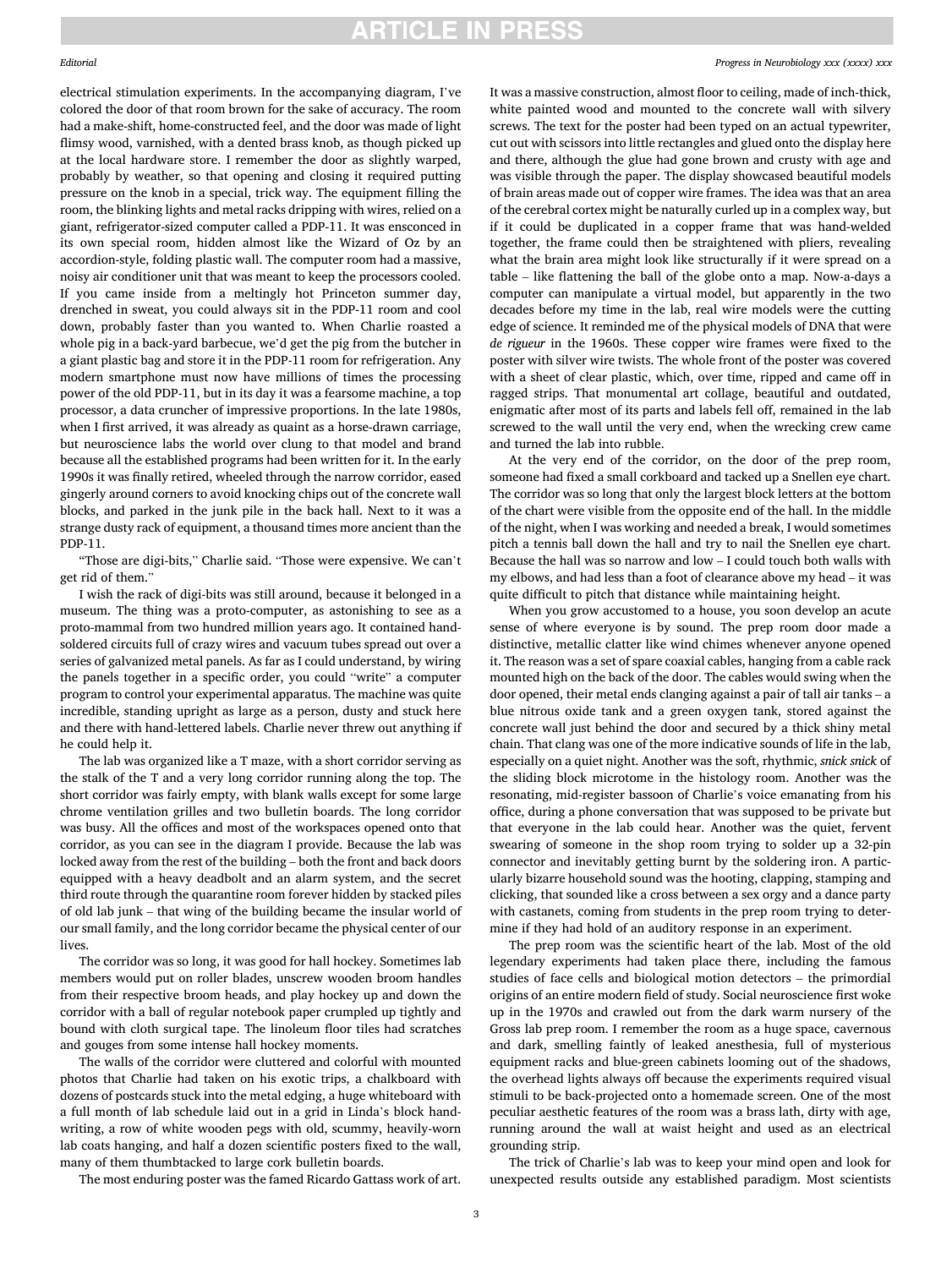### **ARTICLE IN PRESS**

electrical stimulation experiments. In the accompanying diagram, I've colored the door of that room brown for the sake of accuracy. The room had a make-shift, home-constructed feel, and the door was made of light fimsy wood, varnished, with a dented brass knob, as though picked up at the local hardware store. I remember the door as slightly warped, probably by weather, so that opening and closing it required putting pressure on the knob in a special, trick way. The equipment flling the room, the blinking lights and metal racks dripping with wires, relied on a giant, refrigerator-sized computer called a PDP-11. It was ensconced in its own special room, hidden almost like the Wizard of Oz by an accordion-style, folding plastic wall. The computer room had a massive, noisy air conditioner unit that was meant to keep the processors cooled. If you came inside from a meltingly hot Princeton summer day, drenched in sweat, you could always sit in the PDP-11 room and cool down, probably faster than you wanted to. When Charlie roasted a whole pig in a back-yard barbecue, we'd get the pig from the butcher in a giant plastic bag and store it in the PDP-11 room for refrigeration. Any modern smartphone must now have millions of times the processing power of the old PDP-11, but in its day it was a fearsome machine, a top processor, a data cruncher of impressive proportions. In the late 1980s, when I first arrived, it was already as quaint as a horse-drawn carriage, but neuroscience labs the world over clung to that model and brand because all the established programs had been written for it. In the early 1990s it was fnally retired, wheeled through the narrow corridor, eased gingerly around corners to avoid knocking chips out of the concrete wall blocks, and parked in the junk pile in the back hall. Next to it was a strange dusty rack of equipment, a thousand times more ancient than the PDP-11.

"Those are digi-bits," Charlie said. "Those were expensive. We can't get rid of them."

I wish the rack of digi-bits was still around, because it belonged in a museum. The thing was a proto-computer, as astonishing to see as a proto-mammal from two hundred million years ago. It contained handsoldered circuits full of crazy wires and vacuum tubes spread out over a series of galvanized metal panels. As far as I could understand, by wiring the panels together in a specifc order, you could "write" a computer program to control your experimental apparatus. The machine was quite incredible, standing upright as large as a person, dusty and stuck here and there with hand-lettered labels. Charlie never threw out anything if he could help it.

The lab was organized like a T maze, with a short corridor serving as the stalk of the T and a very long corridor running along the top. The short corridor was fairly empty, with blank walls except for some large chrome ventilation grilles and two bulletin boards. The long corridor was busy. All the offices and most of the workspaces opened onto that corridor, as you can see in the diagram I provide. Because the lab was locked away from the rest of the building – both the front and back doors equipped with a heavy deadbolt and an alarm system, and the secret third route through the quarantine room forever hidden by stacked piles of old lab junk – that wing of the building became the insular world of our small family, and the long corridor became the physical center of our lives.

The corridor was so long, it was good for hall hockey. Sometimes lab members would put on roller blades, unscrew wooden broom handles from their respective broom heads, and play hockey up and down the corridor with a ball of regular notebook paper crumpled up tightly and bound with cloth surgical tape. The linoleum floor tiles had scratches and gouges from some intense hall hockey moments.

The walls of the corridor were cluttered and colorful with mounted photos that Charlie had taken on his exotic trips, a chalkboard with dozens of postcards stuck into the metal edging, a huge whiteboard with a full month of lab schedule laid out in a grid in Linda's block handwriting, a row of white wooden pegs with old, scummy, heavily-worn lab coats hanging, and half a dozen scientific posters fixed to the wall, many of them thumbtacked to large cork bulletin boards.

The most enduring poster was the famed Ricardo Gattass work of art.

It was a massive construction, almost floor to ceiling, made of inch-thick, white painted wood and mounted to the concrete wall with silvery screws. The text for the poster had been typed on an actual typewriter, cut out with scissors into little rectangles and glued onto the display here and there, although the glue had gone brown and crusty with age and was visible through the paper. The display showcased beautiful models of brain areas made out of copper wire frames. The idea was that an area of the cerebral cortex might be naturally curled up in a complex way, but if it could be duplicated in a copper frame that was hand-welded together, the frame could then be straightened with pliers, revealing what the brain area might look like structurally if it were spread on a table – like fattening the ball of the globe onto a map. Now-a-days a computer can manipulate a virtual model, but apparently in the two decades before my time in the lab, real wire models were the cutting edge of science. It reminded me of the physical models of DNA that were de rigueur in the 1960s. These copper wire frames were fixed to the poster with silver wire twists. The whole front of the poster was covered with a sheet of clear plastic, which, over time, ripped and came off in ragged strips. That monumental art collage, beautiful and outdated, enigmatic after most of its parts and labels fell off, remained in the lab screwed to the wall until the very end, when the wrecking crew came and turned the lab into rubble.

At the very end of the corridor, on the door of the prep room, someone had fxed a small corkboard and tacked up a Snellen eye chart. The corridor was so long that only the largest block letters at the bottom of the chart were visible from the opposite end of the hall. In the middle of the night, when I was working and needed a break, I would sometimes pitch a tennis ball down the hall and try to nail the Snellen eye chart. Because the hall was so narrow and low – I could touch both walls with my elbows, and had less than a foot of clearance above my head – it was quite diffcult to pitch that distance while maintaining height.

When you grow accustomed to a house, you soon develop an acute sense of where everyone is by sound. The prep room door made a distinctive, metallic clatter like wind chimes whenever anyone opened it. The reason was a set of spare coaxial cables, hanging from a cable rack mounted high on the back of the door. The cables would swing when the door opened, their metal ends clanging against a pair of tall air tanks – a blue nitrous oxide tank and a green oxygen tank, stored against the concrete wall just behind the door and secured by a thick shiny metal chain. That clang was one of the more indicative sounds of life in the lab, especially on a quiet night. Another was the soft, rhythmic, snick snick of the sliding block microtome in the histology room. Another was the resonating, mid-register bassoon of Charlie's voice emanating from his office, during a phone conversation that was supposed to be private but that everyone in the lab could hear. Another was the quiet, fervent swearing of someone in the shop room trying to solder up a 32-pin connector and inevitably getting burnt by the soldering iron. A particularly bizarre household sound was the hooting, clapping, stamping and clicking, that sounded like a cross between a sex orgy and a dance party with castanets, coming from students in the prep room trying to determine if they had hold of an auditory response in an experiment.

The prep room was the scientific heart of the lab. Most of the old legendary experiments had taken place there, including the famous studies of face cells and biological motion detectors – the primordial origins of an entire modern feld of study. Social neuroscience frst woke up in the 1970s and crawled out from the dark warm nursery of the Gross lab prep room. I remember the room as a huge space, cavernous and dark, smelling faintly of leaked anesthesia, full of mysterious equipment racks and blue-green cabinets looming out of the shadows, the overhead lights always off because the experiments required visual stimuli to be back-projected onto a homemade screen. One of the most peculiar aesthetic features of the room was a brass lath, dirty with age, running around the wall at waist height and used as an electrical grounding strip.

The trick of Charlie's lab was to keep your mind open and look for unexpected results outside any established paradigm. Most scientists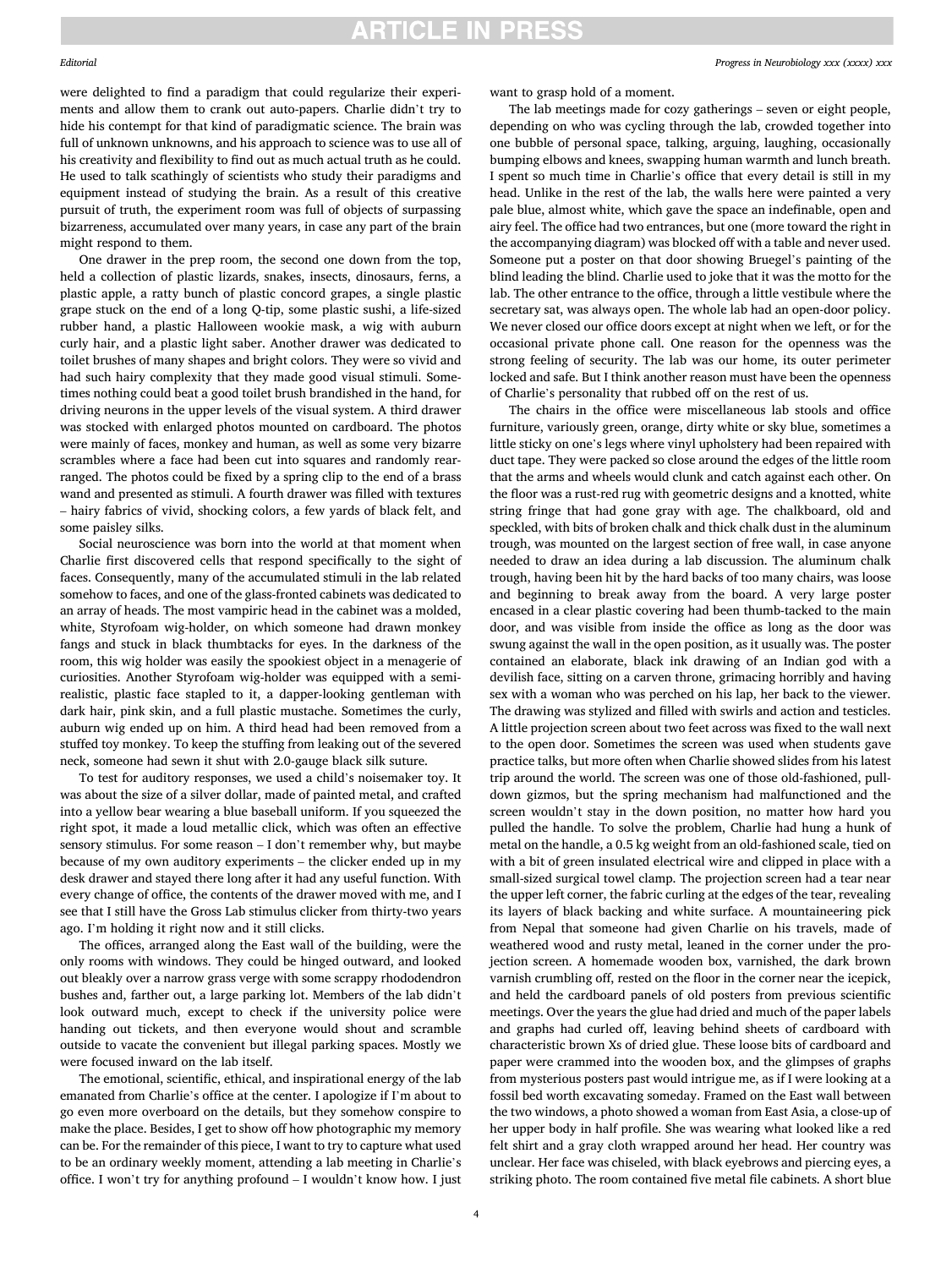## **ARTICLE IN PRESS**

#### Editorial

were delighted to fnd a paradigm that could regularize their experiments and allow them to crank out auto-papers. Charlie didn't try to hide his contempt for that kind of paradigmatic science. The brain was full of unknown unknowns, and his approach to science was to use all of his creativity and fexibility to fnd out as much actual truth as he could. He used to talk scathingly of scientists who study their paradigms and equipment instead of studying the brain. As a result of this creative pursuit of truth, the experiment room was full of objects of surpassing bizarreness, accumulated over many years, in case any part of the brain might respond to them.

One drawer in the prep room, the second one down from the top, held a collection of plastic lizards, snakes, insects, dinosaurs, ferns, a plastic apple, a ratty bunch of plastic concord grapes, a single plastic grape stuck on the end of a long Q-tip, some plastic sushi, a life-sized rubber hand, a plastic Halloween wookie mask, a wig with auburn curly hair, and a plastic light saber. Another drawer was dedicated to toilet brushes of many shapes and bright colors. They were so vivid and had such hairy complexity that they made good visual stimuli. Sometimes nothing could beat a good toilet brush brandished in the hand, for driving neurons in the upper levels of the visual system. A third drawer was stocked with enlarged photos mounted on cardboard. The photos were mainly of faces, monkey and human, as well as some very bizarre scrambles where a face had been cut into squares and randomly rearranged. The photos could be fxed by a spring clip to the end of a brass wand and presented as stimuli. A fourth drawer was flled with textures – hairy fabrics of vivid, shocking colors, a few yards of black felt, and some paisley silks.

Social neuroscience was born into the world at that moment when Charlie frst discovered cells that respond specifcally to the sight of faces. Consequently, many of the accumulated stimuli in the lab related somehow to faces, and one of the glass-fronted cabinets was dedicated to an array of heads. The most vampiric head in the cabinet was a molded, white, Styrofoam wig-holder, on which someone had drawn monkey fangs and stuck in black thumbtacks for eyes. In the darkness of the room, this wig holder was easily the spookiest object in a menagerie of curiosities. Another Styrofoam wig-holder was equipped with a semirealistic, plastic face stapled to it, a dapper-looking gentleman with dark hair, pink skin, and a full plastic mustache. Sometimes the curly, auburn wig ended up on him. A third head had been removed from a stuffed toy monkey. To keep the stuffing from leaking out of the severed neck, someone had sewn it shut with 2.0-gauge black silk suture.

To test for auditory responses, we used a child's noisemaker toy. It was about the size of a silver dollar, made of painted metal, and crafted into a yellow bear wearing a blue baseball uniform. If you squeezed the right spot, it made a loud metallic click, which was often an effective sensory stimulus. For some reason – I don't remember why, but maybe because of my own auditory experiments – the clicker ended up in my desk drawer and stayed there long after it had any useful function. With every change of office, the contents of the drawer moved with me, and I see that I still have the Gross Lab stimulus clicker from thirty-two years ago. I'm holding it right now and it still clicks.

The offices, arranged along the East wall of the building, were the only rooms with windows. They could be hinged outward, and looked out bleakly over a narrow grass verge with some scrappy rhododendron bushes and, farther out, a large parking lot. Members of the lab didn't look outward much, except to check if the university police were handing out tickets, and then everyone would shout and scramble outside to vacate the convenient but illegal parking spaces. Mostly we were focused inward on the lab itself.

The emotional, scientifc, ethical, and inspirational energy of the lab emanated from Charlie's office at the center. I apologize if I'm about to go even more overboard on the details, but they somehow conspire to make the place. Besides, I get to show off how photographic my memory can be. For the remainder of this piece, I want to try to capture what used to be an ordinary weekly moment, attending a lab meeting in Charlie's office. I won't try for anything profound  $-$  I wouldn't know how. I just

*Progress in Neurobiology xxx (xxxx) xxx*

want to grasp hold of a moment.

The lab meetings made for cozy gatherings – seven or eight people, depending on who was cycling through the lab, crowded together into one bubble of personal space, talking, arguing, laughing, occasionally bumping elbows and knees, swapping human warmth and lunch breath. I spent so much time in Charlie's office that every detail is still in my head. Unlike in the rest of the lab, the walls here were painted a very pale blue, almost white, which gave the space an indefnable, open and airy feel. The office had two entrances, but one (more toward the right in the accompanying diagram) was blocked off with a table and never used. Someone put a poster on that door showing Bruegel's painting of the blind leading the blind. Charlie used to joke that it was the motto for the lab. The other entrance to the office, through a little vestibule where the secretary sat, was always open. The whole lab had an open-door policy. We never closed our office doors except at night when we left, or for the occasional private phone call. One reason for the openness was the strong feeling of security. The lab was our home, its outer perimeter locked and safe. But I think another reason must have been the openness of Charlie's personality that rubbed off on the rest of us.

The chairs in the office were miscellaneous lab stools and office furniture, variously green, orange, dirty white or sky blue, sometimes a little sticky on one's legs where vinyl upholstery had been repaired with duct tape. They were packed so close around the edges of the little room that the arms and wheels would clunk and catch against each other. On the floor was a rust-red rug with geometric designs and a knotted, white string fringe that had gone gray with age. The chalkboard, old and speckled, with bits of broken chalk and thick chalk dust in the aluminum trough, was mounted on the largest section of free wall, in case anyone needed to draw an idea during a lab discussion. The aluminum chalk trough, having been hit by the hard backs of too many chairs, was loose and beginning to break away from the board. A very large poster encased in a clear plastic covering had been thumb-tacked to the main door, and was visible from inside the office as long as the door was swung against the wall in the open position, as it usually was. The poster contained an elaborate, black ink drawing of an Indian god with a devilish face, sitting on a carven throne, grimacing horribly and having sex with a woman who was perched on his lap, her back to the viewer. The drawing was stylized and flled with swirls and action and testicles. A little projection screen about two feet across was fxed to the wall next to the open door. Sometimes the screen was used when students gave practice talks, but more often when Charlie showed slides from his latest trip around the world. The screen was one of those old-fashioned, pulldown gizmos, but the spring mechanism had malfunctioned and the screen wouldn't stay in the down position, no matter how hard you pulled the handle. To solve the problem, Charlie had hung a hunk of metal on the handle, a 0.5 kg weight from an old-fashioned scale, tied on with a bit of green insulated electrical wire and clipped in place with a small-sized surgical towel clamp. The projection screen had a tear near the upper left corner, the fabric curling at the edges of the tear, revealing its layers of black backing and white surface. A mountaineering pick from Nepal that someone had given Charlie on his travels, made of weathered wood and rusty metal, leaned in the corner under the projection screen. A homemade wooden box, varnished, the dark brown varnish crumbling off, rested on the floor in the corner near the icepick, and held the cardboard panels of old posters from previous scientifc meetings. Over the years the glue had dried and much of the paper labels and graphs had curled off, leaving behind sheets of cardboard with characteristic brown Xs of dried glue. These loose bits of cardboard and paper were crammed into the wooden box, and the glimpses of graphs from mysterious posters past would intrigue me, as if I were looking at a fossil bed worth excavating someday. Framed on the East wall between the two windows, a photo showed a woman from East Asia, a close-up of her upper body in half profle. She was wearing what looked like a red felt shirt and a gray cloth wrapped around her head. Her country was unclear. Her face was chiseled, with black eyebrows and piercing eyes, a striking photo. The room contained fve metal fle cabinets. A short blue